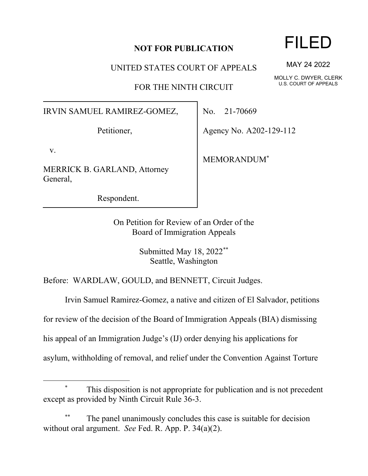## **NOT FOR PUBLICATION**

UNITED STATES COURT OF APPEALS

FOR THE NINTH CIRCUIT

IRVIN SAMUEL RAMIREZ-GOMEZ,

Petitioner,

v.

MERRICK B. GARLAND, Attorney General,

Respondent.

No. 21-70669

Agency No. A202-129-112

MEMORANDUM\*

On Petition for Review of an Order of the Board of Immigration Appeals

> Submitted May 18, 2022\*\* Seattle, Washington

Before: WARDLAW, GOULD, and BENNETT, Circuit Judges.

Irvin Samuel Ramirez-Gomez, a native and citizen of El Salvador, petitions

for review of the decision of the Board of Immigration Appeals (BIA) dismissing

his appeal of an Immigration Judge's (IJ) order denying his applications for

asylum, withholding of removal, and relief under the Convention Against Torture

FILED

MAY 24 2022

MOLLY C. DWYER, CLERK U.S. COURT OF APPEALS

This disposition is not appropriate for publication and is not precedent except as provided by Ninth Circuit Rule 36-3.

The panel unanimously concludes this case is suitable for decision without oral argument. *See* Fed. R. App. P. 34(a)(2).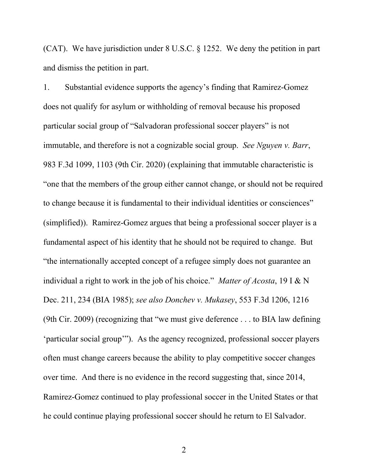(CAT). We have jurisdiction under 8 U.S.C. § 1252. We deny the petition in part and dismiss the petition in part.

1. Substantial evidence supports the agency's finding that Ramirez-Gomez does not qualify for asylum or withholding of removal because his proposed particular social group of "Salvadoran professional soccer players" is not immutable, and therefore is not a cognizable social group. *See Nguyen v. Barr*, 983 F.3d 1099, 1103 (9th Cir. 2020) (explaining that immutable characteristic is "one that the members of the group either cannot change, or should not be required to change because it is fundamental to their individual identities or consciences" (simplified)). Ramirez-Gomez argues that being a professional soccer player is a fundamental aspect of his identity that he should not be required to change. But "the internationally accepted concept of a refugee simply does not guarantee an individual a right to work in the job of his choice." *Matter of Acosta*, 19 I & N Dec. 211, 234 (BIA 1985); *see also Donchev v. Mukasey*, 553 F.3d 1206, 1216 (9th Cir. 2009) (recognizing that "we must give deference . . . to BIA law defining 'particular social group'"). As the agency recognized, professional soccer players often must change careers because the ability to play competitive soccer changes over time. And there is no evidence in the record suggesting that, since 2014, Ramirez-Gomez continued to play professional soccer in the United States or that he could continue playing professional soccer should he return to El Salvador.

2 a set of  $\sim$  2 a set of  $\sim$  2 a set of  $\sim$  2 a set of  $\sim$  3 a set of  $\sim$  3 a set of  $\sim$  3 a set of  $\sim$  3 a set of  $\sim$  3 a set of  $\sim$  3 a set of  $\sim$  3 a set of  $\sim$  3 a set of  $\sim$  3 a set of  $\sim$  3 a set of  $\sim$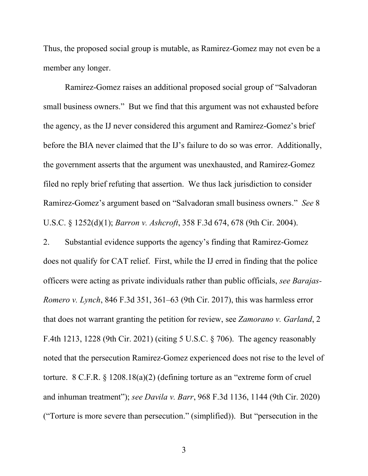Thus, the proposed social group is mutable, as Ramirez-Gomez may not even be a member any longer.

Ramirez-Gomez raises an additional proposed social group of "Salvadoran small business owners." But we find that this argument was not exhausted before the agency, as the IJ never considered this argument and Ramirez-Gomez's brief before the BIA never claimed that the IJ's failure to do so was error. Additionally, the government asserts that the argument was unexhausted, and Ramirez-Gomez filed no reply brief refuting that assertion. We thus lack jurisdiction to consider Ramirez-Gomez's argument based on "Salvadoran small business owners." *See* 8 U.S.C. § 1252(d)(1); *Barron v. Ashcroft*, 358 F.3d 674, 678 (9th Cir. 2004).

2. Substantial evidence supports the agency's finding that Ramirez-Gomez does not qualify for CAT relief. First, while the IJ erred in finding that the police officers were acting as private individuals rather than public officials, *see Barajas-Romero v. Lynch*, 846 F.3d 351, 361–63 (9th Cir. 2017), this was harmless error that does not warrant granting the petition for review, see *Zamorano v. Garland*, 2 F.4th 1213, 1228 (9th Cir. 2021) (citing 5 U.S.C. § 706). The agency reasonably noted that the persecution Ramirez-Gomez experienced does not rise to the level of torture. 8 C.F.R. § 1208.18(a)(2) (defining torture as an "extreme form of cruel and inhuman treatment"); *see Davila v. Barr*, 968 F.3d 1136, 1144 (9th Cir. 2020) ("Torture is more severe than persecution." (simplified)). But "persecution in the

3